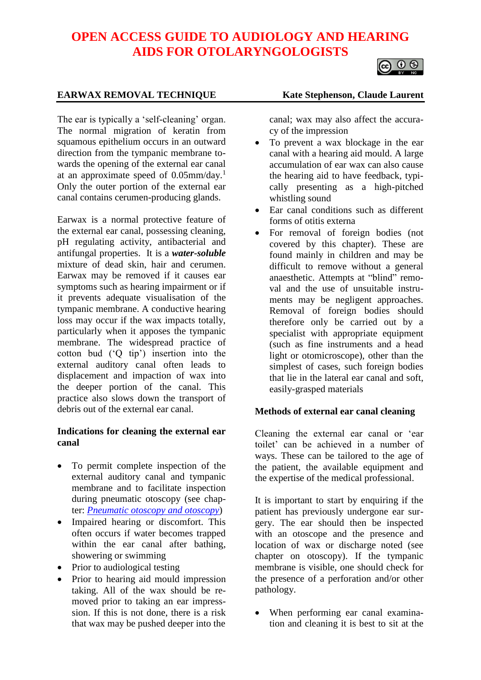# **OPEN ACCESS GUIDE TO AUDIOLOGY AND HEARING AIDS FOR OTOLARYNGOLOGISTS**



# **EARWAX REMOVAL TECHNIQUE Kate Stephenson, Claude Laurent**

The ear is typically a 'self-cleaning' organ. The normal migration of keratin from squamous epithelium occurs in an outward direction from the tympanic membrane towards the opening of the external ear canal at an approximate speed of 0.05mm/day.<sup>1</sup> Only the outer portion of the external ear canal contains cerumen-producing glands.

Earwax is a normal protective feature of the external ear canal, possessing cleaning, pH regulating activity, antibacterial and antifungal properties. It is a *water-soluble* mixture of dead skin, hair and cerumen. Earwax may be removed if it causes ear symptoms such as hearing impairment or if it prevents adequate visualisation of the tympanic membrane. A conductive hearing loss may occur if the wax impacts totally, particularly when it apposes the tympanic membrane. The widespread practice of cotton bud ('Q tip') insertion into the external auditory canal often leads to displacement and impaction of wax into the deeper portion of the canal. This practice also slows down the transport of debris out of the external ear canal.

#### **Indications for cleaning the external ear canal**

- To permit complete inspection of the external auditory canal and tympanic membrane and to facilitate inspection during pneumatic otoscopy (see chapter: *[Pneumatic otoscopy and otoscopy](https://vula.uct.ac.za/access/content/group/27b5cb1b-1b65-4280-9437-a9898ddd4c40/Pneumatic%20otoscopy%20and%20otoscopy.pdf)*)
- Impaired hearing or discomfort. This often occurs if water becomes trapped within the ear canal after bathing, showering or swimming
- Prior to audiological testing
- Prior to hearing aid mould impression taking. All of the wax should be removed prior to taking an ear impresssion. If this is not done, there is a risk that wax may be pushed deeper into the

canal; wax may also affect the accuracy of the impression

- To prevent a wax blockage in the ear canal with a hearing aid mould. A large accumulation of ear wax can also cause the hearing aid to have feedback, typically presenting as a high-pitched whistling sound
- Ear canal conditions such as different forms of otitis externa
- For removal of foreign bodies (not covered by this chapter). These are found mainly in children and may be difficult to remove without a general anaesthetic. Attempts at "blind" removal and the use of unsuitable instruments may be negligent approaches. Removal of foreign bodies should therefore only be carried out by a specialist with appropriate equipment (such as fine instruments and a head light or otomicroscope), other than the simplest of cases, such foreign bodies that lie in the lateral ear canal and soft, easily-grasped materials

# **Methods of external ear canal cleaning**

Cleaning the external ear canal or 'ear toilet' can be achieved in a number of ways. These can be tailored to the age of the patient, the available equipment and the expertise of the medical professional.

It is important to start by enquiring if the patient has previously undergone ear surgery. The ear should then be inspected with an otoscope and the presence and location of wax or discharge noted (see chapter on otoscopy). If the tympanic membrane is visible, one should check for the presence of a perforation and/or other pathology.

• When performing ear canal examination and cleaning it is best to sit at the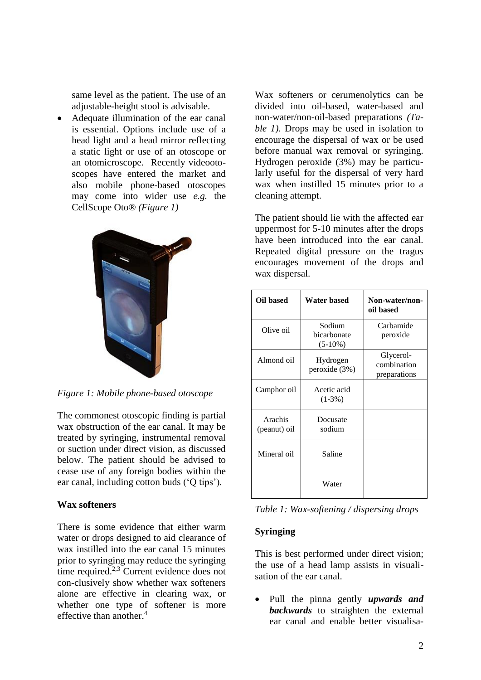same level as the patient. The use of an adjustable-height stool is advisable.

• Adequate illumination of the ear canal is essential. Options include use of a head light and a head mirror reflecting a static light or use of an otoscope or an otomicroscope. Recently videootoscopes have entered the market and also mobile phone-based otoscopes may come into wider use *e.g.* the CellScope Oto® *(Figure 1)*



*Figure 1: Mobile phone-based otoscope*

The commonest otoscopic finding is partial wax obstruction of the ear canal. It may be treated by syringing, instrumental removal or suction under direct vision, as discussed below. The patient should be advised to cease use of any foreign bodies within the ear canal, including cotton buds ('Q tips').

#### **Wax softeners**

There is some evidence that either warm water or drops designed to aid clearance of wax instilled into the ear canal 15 minutes prior to syringing may reduce the syringing time required.<sup>2,3</sup> Current evidence does not con-clusively show whether wax softeners alone are effective in clearing wax, or whether one type of softener is more effective than another.<sup>4</sup>

Wax softeners or cerumenolytics can be divided into oil-based, water-based and non-water/non-oil-based preparations *(Table 1)*. Drops may be used in isolation to encourage the dispersal of wax or be used before manual wax removal or syringing. Hydrogen peroxide (3%) may be particularly useful for the dispersal of very hard wax when instilled 15 minutes prior to a cleaning attempt.

The patient should lie with the affected ear uppermost for 5-10 minutes after the drops have been introduced into the ear canal. Repeated digital pressure on the tragus encourages movement of the drops and wax dispersal.

| Oil based               | Water based                         | Non-water/non-<br>oil based              |
|-------------------------|-------------------------------------|------------------------------------------|
| Olive oil               | Sodium<br>bicarbonate<br>$(5-10\%)$ | Carbamide<br>peroxide                    |
| Almond oil              | Hydrogen<br>peroxide (3%)           | Glycerol-<br>combination<br>preparations |
| Camphor oil             | Acetic acid<br>$(1-3\%)$            |                                          |
| Arachis<br>(peanut) oil | Docusate<br>sodium                  |                                          |
| Mineral oil             | Saline                              |                                          |
|                         | Water                               |                                          |

|  | Table 1: Wax-softening / dispersing drops |  |  |  |
|--|-------------------------------------------|--|--|--|
|--|-------------------------------------------|--|--|--|

#### **Syringing**

This is best performed under direct vision; the use of a head lamp assists in visualisation of the ear canal.

• Pull the pinna gently *upwards and backwards* to straighten the external ear canal and enable better visualisa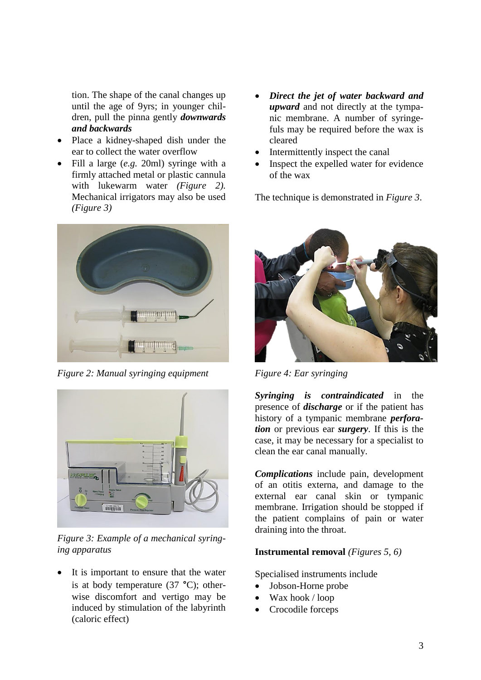tion. The shape of the canal changes up until the age of 9yrs; in younger children, pull the pinna gently *downwards and backwards*

- Place a kidney-shaped dish under the ear to collect the water overflow
- Fill a large (*e.g.* 20ml) syringe with a firmly attached metal or plastic cannula with lukewarm water *(Figure 2).* Mechanical irrigators may also be used *(Figure 3)*



*Figure 2: Manual syringing equipment*



*Figure 3: Example of a mechanical syringing apparatus*

It is important to ensure that the water is at body temperature (37 **°**C); otherwise discomfort and vertigo may be induced by stimulation of the labyrinth (caloric effect)

- *Direct the jet of water backward and upward* and not directly at the tympanic membrane. A number of syringefuls may be required before the wax is cleared
- Intermittently inspect the canal
- Inspect the expelled water for evidence of the wax

The technique is demonstrated in *Figure 3*.



*Figure 4: Ear syringing*

*Syringing is contraindicated* in the presence of *discharge* or if the patient has history of a tympanic membrane *perforation* or previous ear *surgery*. If this is the case, it may be necessary for a specialist to clean the ear canal manually.

*Complications* include pain, development of an otitis externa, and damage to the external ear canal skin or tympanic membrane. Irrigation should be stopped if the patient complains of pain or water draining into the throat.

# **Instrumental removal** *(Figures 5, 6)*

Specialised instruments include

- Jobson-Horne probe
- Wax hook / loop
- Crocodile forceps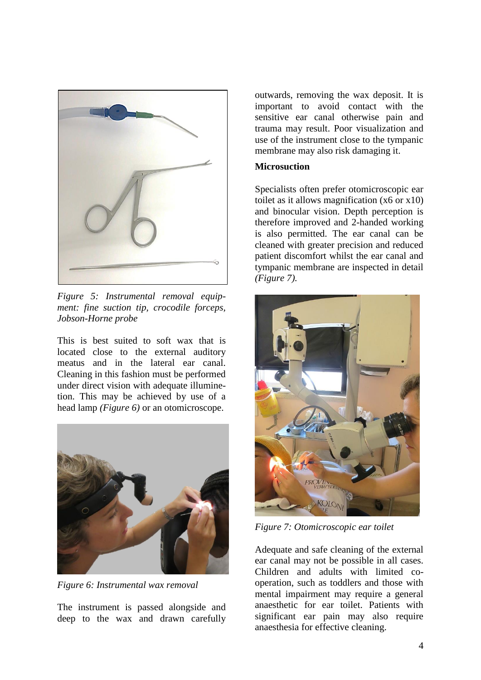

*Figure 5: Instrumental removal equipment: fine suction tip, crocodile forceps, Jobson-Horne probe*

This is best suited to soft wax that is located close to the external auditory meatus and in the lateral ear canal. Cleaning in this fashion must be performed under direct vision with adequate illuminetion. This may be achieved by use of a head lamp *(Figure 6)* or an otomicroscope.



*Figure 6: Instrumental wax removal*

The instrument is passed alongside and deep to the wax and drawn carefully outwards, removing the wax deposit. It is important to avoid contact with the sensitive ear canal otherwise pain and trauma may result. Poor visualization and use of the instrument close to the tympanic membrane may also risk damaging it.

### **Microsuction**

Specialists often prefer otomicroscopic ear toilet as it allows magnification (x6 or x10) and binocular vision. Depth perception is therefore improved and 2-handed working is also permitted. The ear canal can be cleaned with greater precision and reduced patient discomfort whilst the ear canal and tympanic membrane are inspected in detail *(Figure 7).*



*Figure 7: Otomicroscopic ear toilet*

Adequate and safe cleaning of the external ear canal may not be possible in all cases. Children and adults with limited cooperation, such as toddlers and those with mental impairment may require a general anaesthetic for ear toilet. Patients with significant ear pain may also require anaesthesia for effective cleaning.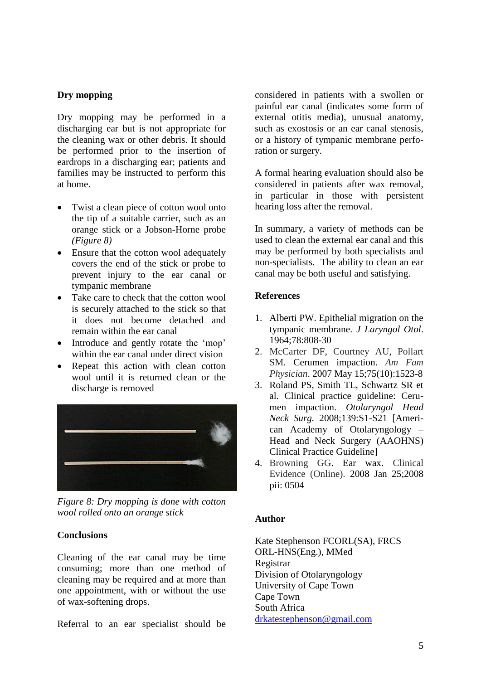# **Dry mopping**

Dry mopping may be performed in a discharging ear but is not appropriate for the cleaning wax or other debris. It should be performed prior to the insertion of eardrops in a discharging ear; patients and families may be instructed to perform this at home.

- Twist a clean piece of cotton wool onto the tip of a suitable carrier, such as an orange stick or a Jobson-Horne probe *(Figure 8)*
- Ensure that the cotton wool adequately covers the end of the stick or probe to prevent injury to the ear canal or tympanic membrane
- Take care to check that the cotton wool is securely attached to the stick so that it does not become detached and remain within the ear canal
- Introduce and gently rotate the 'mop' within the ear canal under direct vision
- Repeat this action with clean cotton wool until it is returned clean or the discharge is removed



*Figure 8: Dry mopping is done with cotton wool rolled onto an orange stick*

# **Conclusions**

Cleaning of the ear canal may be time consuming; more than one method of cleaning may be required and at more than one appointment, with or without the use of wax-softening drops.

Referral to an ear specialist should be

considered in patients with a swollen or painful ear canal (indicates some form of external otitis media), unusual anatomy, such as exostosis or an ear canal stenosis, or a history of tympanic membrane perforation or surgery.

A formal hearing evaluation should also be considered in patients after wax removal, in particular in those with persistent hearing loss after the removal.

In summary, a variety of methods can be used to clean the external ear canal and this may be performed by both specialists and non-specialists. The ability to clean an ear canal may be both useful and satisfying.

# **References**

- 1. Alberti PW. Epithelial migration on the tympanic membrane. *J Laryngol Otol*. 1964;78:808-30
- 2. McCarter DF, Courtney AU, [Pollart](http://www.ncbi.nlm.nih.gov/pubmed?term=Pollart%20SM%5BAuthor%5D&cauthor=true&cauthor_uid=17555144)  [SM.](http://www.ncbi.nlm.nih.gov/pubmed?term=Pollart%20SM%5BAuthor%5D&cauthor=true&cauthor_uid=17555144) Cerumen impaction. *Am Fam Physician*. 2007 May 15;75(10):1523-8
- 3. Roland PS, Smith TL, Schwartz SR et al. Clinical practice guideline: Cerumen impaction. *Otolaryngol Head Neck Surg.* 2008;139:S1-S21 [American Academy of Otolaryngology – Head and Neck Surgery (AAOHNS) Clinical Practice Guideline]
- 4. Browning GG. Ear wax. Clinical Evidence (Online). 2008 Jan 25;2008 pii: 0504

# **Author**

Kate Stephenson FCORL(SA), FRCS ORL-HNS(Eng.), MMed Registrar Division of Otolaryngology University of Cape Town Cape Town South Africa [drkatestephenson@gmail.com](mailto:drkatestephenson@gmail.com)